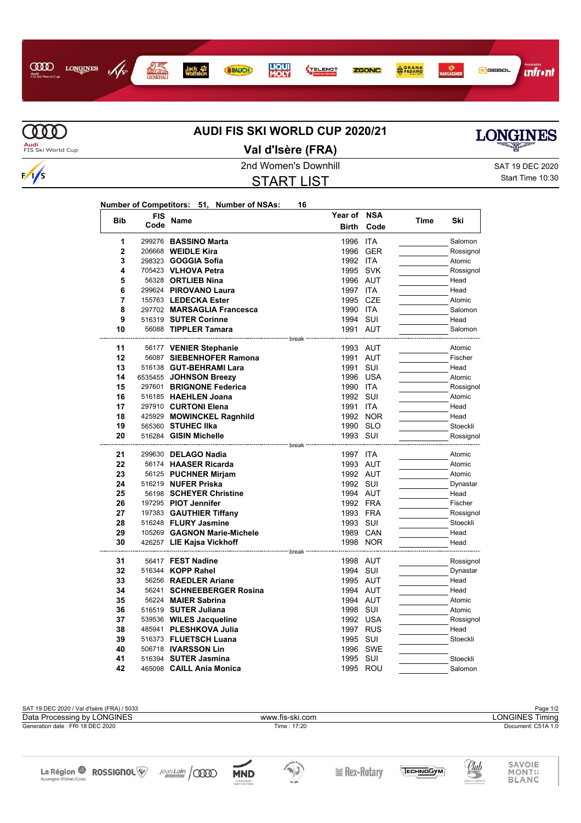



 $\ddot{\phantom{a}}$ 

L.

 $\overline{a}$ 

 $\sqrt{s}$ 

## **AUDI FIS SKI WORLD CUP 2020/21 Val d'Isère (FRA)**



2nd Women's Downhill SAT 19 DEC 2020

## START LIST

Start Time 10:30

## **Number of Competitors: 51, Number of NSAs: 16**

| <b>Bib</b>     | FIS<br>Code | Name                                                             | Year of NSA<br><b>Birth</b> | Code       | Time | Ski       |
|----------------|-------------|------------------------------------------------------------------|-----------------------------|------------|------|-----------|
| 1              |             | 299276 BASSINO Marta                                             | 1996                        | <b>ITA</b> |      | Salomon   |
| $\overline{2}$ |             | 206668 <b>WEIDLE Kira</b>                                        | 1996                        | GER        |      | Rossignol |
| 3              |             | 298323 <b>GOGGIA Sofia</b>                                       | 1992 ITA                    |            |      | Atomic    |
| 4              |             | 705423 VLHOVA Petra                                              |                             | 1995 SVK   |      | Rossignol |
| 5              |             | 56328 ORTLIEB Nina                                               |                             | 1996 AUT   |      | Head      |
| 6              |             | 299624 PIROVANO Laura                                            | 1997 ITA                    |            |      | Head      |
| 7              |             | 155763 LEDECKA Ester                                             |                             | 1995 CZE   |      | Atomic    |
| 8              |             | 297702 MARSAGLIA Francesca                                       | 1990 ITA                    |            |      | Salomon   |
| 9              |             | 516319 SUTER Corinne                                             | 1994 SUI                    |            |      | Head      |
| 10             |             | 56088 TIPPLER Tamara                                             |                             | 1991 AUT   |      | Salomon   |
|                |             |                                                                  |                             |            |      |           |
| 11             |             | 56177 VENIER Stephanie                                           |                             | 1993 AUT   |      | Atomic    |
| 12             |             | 56087 SIEBENHOFER Ramona                                         |                             | 1991 AUT   |      | Fischer   |
| 13             |             | 516138 GUT-BEHRAMI Lara                                          | 1991                        | SUI        |      | Head      |
| 14             |             | 6535455 JOHNSON Breezy                                           | 1996                        | USA        |      | Atomic    |
| 15             |             | 297601 BRIGNONE Federica                                         | 1990 ITA                    |            |      | Rossignol |
| 16             |             | 516185 HAEHLEN Joana                                             | 1992 SUI                    |            |      | Atomic    |
| 17             |             | 297910 CURTONI Elena                                             | 1991                        | ITA        |      | Head      |
| 18             |             | 425929 MOWINCKEL Ragnhild                                        |                             | 1992 NOR   |      | Head      |
| 19             |             | 565360 STUHEC IIka                                               |                             | 1990 SLO   |      | Stoeckli  |
| 20             |             | 516284 GISIN Michelle                                            | 1993 SUI                    |            |      | Rossignol |
| 21             |             | ---------------------- break <sup>.</sup><br>299630 DELAGO Nadia | 1997 ITA                    |            |      | Atomic    |
| 22             |             | 56174 HAASER Ricarda                                             |                             | 1993 AUT   |      | Atomic    |
| 23             |             | 56125 PUCHNER Mirjam                                             |                             | 1992 AUT   |      | Atomic    |
| 24             |             | 516219 NUFER Priska                                              | 1992 SUI                    |            |      | Dynastar  |
| 25             |             | 56198 SCHEYER Christine                                          |                             | 1994 AUT   |      | Head      |
| 26             |             | 197295 PIOT Jennifer                                             |                             | 1992 FRA   |      | Fischer   |
| 27             |             | 197383 GAUTHIER Tiffany                                          |                             | 1993 FRA   |      | Rossignol |
| 28             |             | 516248 FLURY Jasmine                                             | 1993 SUI                    |            |      | Stoeckli  |
| 29             |             | 105269 GAGNON Marie-Michele                                      |                             | 1989 CAN   |      | Head      |
| 30             |             | 426257 LIE Kajsa Vickhoff                                        |                             | 1998 NOR   |      | Head      |
|                |             | ---------------- break                                           |                             |            |      |           |
| 31             |             | 56417 FEST Nadine                                                |                             | 1998 AUT   |      | Rossignol |
| 32             |             | 516344 KOPP Rahel                                                | 1994 SUI                    |            |      | Dynastar  |
| 33             |             | 56256 RAEDLER Ariane                                             |                             | 1995 AUT   |      | Head      |
| 34             |             | 56241 SCHNEEBERGER Rosina                                        |                             | 1994 AUT   |      | Head      |
| 35             |             | 56224 MAIER Sabrina                                              |                             | 1994 AUT   |      | Atomic    |
| 36             |             | 516519 SUTER Juliana                                             | 1998 SUI                    |            |      | Atomic    |
| 37             |             | 539536 WILES Jacqueline                                          |                             | 1992 USA   |      | Rossignol |
| 38             |             | 485941 PLESHKOVA Julia                                           |                             | 1997 RUS   |      | Head      |
| 39             |             | 516373 FLUETSCH Luana                                            | 1995 SUI                    |            |      | Stoeckli  |
| 40             |             | 506718 <b>IVARSSON Lin</b>                                       | 1996                        | SWE        |      |           |
| 41             |             | 516394 SUTER Jasmina                                             | 1995 SUI                    |            |      | Stoeckli  |
| 42             |             | 465098 CAILL Ania Monica                                         |                             | 1995 ROU   |      | Salomon   |

SAT 19 DEC 2020 / Val d'Isère (FRA) / 5033<br>Data Processing by LONGINES **Page 1/2**<br>Data Processing by LONGINES **Page 1/2** Data Processing by LONGINES www.fis-ski.com Generation date : FRI 18 DEC 2020 Time : 17:20 Document: C51A 1.0 SAVOIE<br>MONT::<br>BLANC <u>Club</u> La Région <sup>2</sup> ROSSIGNOL<sup>W</sup>  $JeanLain$   $\sqrt{0000}$  $\rightarrow$ TECHNOGYM **E** Rex•Rotary **MND** Auvergne-Rhône-Alpes